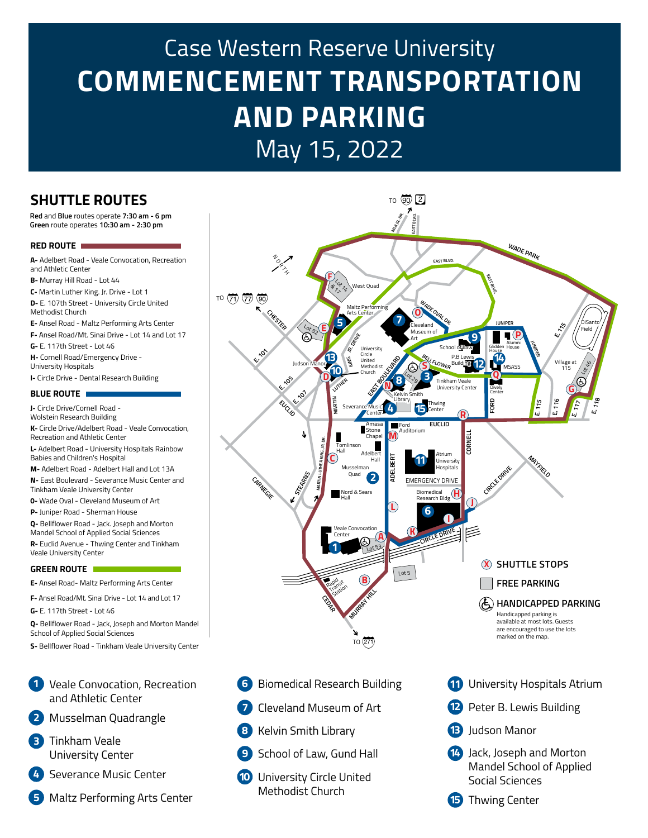# Case Western Reserve University **COMMENCEMENT TRANSPORTATION AND PARKING** May 15, 2022

### **SHUTTLE ROUTES**

**Green** route operates **10:30 am - 2:30 pm Red** and **Blue** routes operate **7:30 am - 6 pm**

#### **RED ROUTE**

**A-** Adelbert Road - Veale Convocation, Recreation and Athletic Center

**B-** Murray Hill Road - Lot 44

**C-** Martin Luther King. Jr. Drive - Lot 1 **D-** E. 107th Street - University Circle United

Methodist Church

**E-** Ansel Road - Maltz Performing Arts Center

**F-** Ansel Road/Mt. Sinai Drive - Lot 14 and Lot 17

**G-** E. 117th Street - Lot 46

**H-** Cornell Road/Emergency Drive - University Hospitals

**I-** Circle Drive - Dental Research Building

#### **BLUE ROUTE**

**J-** Circle Drive/Cornell Road - Wolstein Research Building **K-** Circle Drive/Adelbert Road - Veale Convocation, Recreation and Athletic Center **L-** Adelbert Road - University Hospitals Rainbow

Babies and Children's Hospital **M-** Adelbert Road - Adelbert Hall and Lot 13A

**N-** East Boulevard - Severance Music Center and Tinkham Veale University Center

**0-** Wade Oval - Cleveland Museum of Art

**P-** Juniper Road - Sherman House

**Q-** Bellflower Road - Jack. Joseph and Morton Mandel School of Applied Social Sciences **R-** Euclid Avenue - Thwing Center and Tinkham

Veale University Center

#### **GREEN ROUTE**

**E-** Ansel Road- Maltz Performing Arts Center

**F-** Ansel Road/Mt. Sinai Drive - Lot 14 and Lot 17

**G-** E. 117th Street - Lot 46

**Q-** Bellflower Road - Jack, Joseph and Morton Mandel School of Applied Social Sciences

**S-** Bellflower Road - Tinkham Veale University Center

#### Veale Convocation, Recreation **1** and Athletic Center

- Musselman Quadrangle **2**
- **3** Tinkham Veale University Center
- **4** Severance Music Center
- **5** Maltz Performing Arts Center



- **6** Biomedical Research Building
- **7** Cleveland Museum of Art
- **8** Kelvin Smith Library
- **9** School of Law, Gund Hall
- **10** University Circle United Methodist Church
- **11** University Hospitals Atrium
- **12** Peter B. Lewis Building
- **13** Judson Manor
- **14** Jack, Joseph and Morton Mandel School of Applied Social Sciences